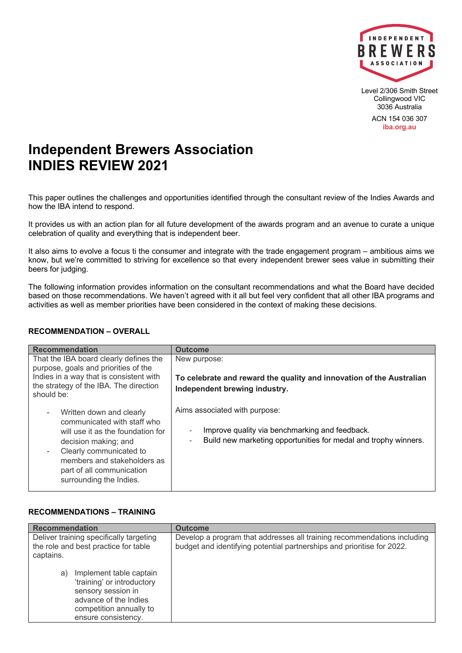

Level 2/306 Smith Street Collingwood VIC 3036 Australia

ACN 154 036 307 **iba.org.au**

# **Independent Brewers Association INDIES REVIEW 2021**

This paper outlines the challenges and opportunities identified through the consultant review of the Indies Awards and how the IBA intend to respond.

It provides us with an action plan for all future development of the awards program and an avenue to curate a unique celebration of quality and everything that is independent beer.

It also aims to evolve a focus ti the consumer and integrate with the trade engagement program – ambitious aims we know, but we're committed to striving for excellence so that every independent brewer sees value in submitting their beers for judging.

The following information provides information on the consultant recommendations and what the Board have decided based on those recommendations. We haven't agreed with it all but feel very confident that all other IBA programs and activities as well as member priorities have been considered in the context of making these decisions.

#### **RECOMMENDATION – OVERALL**

| <b>Recommendation</b>                                                                                                                                                                                                                                                                          | <b>Outcome</b>                                                                                                                                                      |  |
|------------------------------------------------------------------------------------------------------------------------------------------------------------------------------------------------------------------------------------------------------------------------------------------------|---------------------------------------------------------------------------------------------------------------------------------------------------------------------|--|
| That the IBA board clearly defines the<br>purpose, goals and priorities of the<br>Indies in a way that is consistent with<br>the strategy of the IBA. The direction<br>should be:                                                                                                              | New purpose:<br>To celebrate and reward the quality and innovation of the Australian<br>Independent brewing industry.                                               |  |
| Written down and clearly<br>$\overline{\phantom{a}}$<br>communicated with staff who<br>will use it as the foundation for<br>decision making; and<br>Clearly communicated to<br>$\overline{\phantom{a}}$<br>members and stakeholders as<br>part of all communication<br>surrounding the Indies. | Aims associated with purpose:<br>Improve quality via benchmarking and feedback.<br>Build new marketing opportunities for medal and trophy winners.<br>$\frac{1}{2}$ |  |

### **RECOMMENDATIONS – TRAINING**

| <b>Recommendation</b>                                                                                                         | <b>Outcome</b>                                                                                                                                    |
|-------------------------------------------------------------------------------------------------------------------------------|---------------------------------------------------------------------------------------------------------------------------------------------------|
| Deliver training specifically targeting<br>the role and best practice for table<br>captains.<br>Implement table captain<br>a) | Develop a program that addresses all training recommendations including<br>budget and identifying potential partnerships and prioritise for 2022. |
| 'training' or introductory<br>sensory session in<br>advance of the Indies<br>competition annually to<br>ensure consistency.   |                                                                                                                                                   |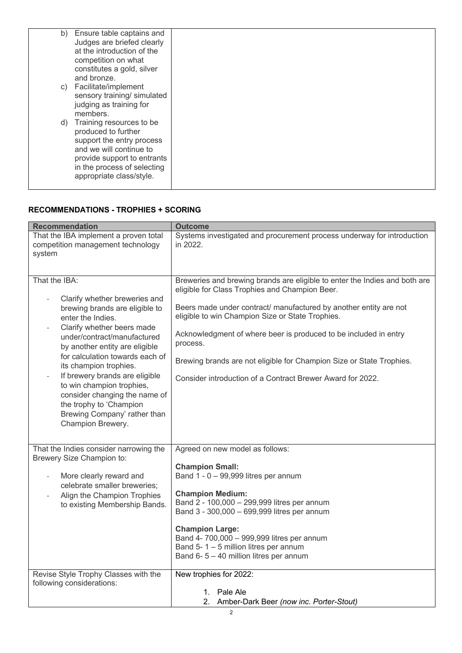|    | b) Ensure table captains and<br>Judges are briefed clearly<br>at the introduction of the<br>competition on what<br>constitutes a gold, silver<br>and bronze.                                      |  |
|----|---------------------------------------------------------------------------------------------------------------------------------------------------------------------------------------------------|--|
|    | c) Facilitate/implement<br>sensory training/ simulated<br>judging as training for<br>members.                                                                                                     |  |
| d) | Training resources to be<br>produced to further<br>support the entry process<br>and we will continue to<br>provide support to entrants<br>in the process of selecting<br>appropriate class/style. |  |

### **RECOMMENDATIONS - TROPHIES + SCORING**

| <b>Recommendation</b>                                                                                                                                                                                                                                                                                                                                                                                                                                               | <b>Outcome</b>                                                                                                                                                                                                                                                                                                                                                                                                                                                              |
|---------------------------------------------------------------------------------------------------------------------------------------------------------------------------------------------------------------------------------------------------------------------------------------------------------------------------------------------------------------------------------------------------------------------------------------------------------------------|-----------------------------------------------------------------------------------------------------------------------------------------------------------------------------------------------------------------------------------------------------------------------------------------------------------------------------------------------------------------------------------------------------------------------------------------------------------------------------|
| That the IBA implement a proven total<br>competition management technology<br>system                                                                                                                                                                                                                                                                                                                                                                                | Systems investigated and procurement process underway for introduction<br>in 2022.                                                                                                                                                                                                                                                                                                                                                                                          |
| That the IBA:<br>Clarify whether breweries and<br>brewing brands are eligible to<br>enter the Indies.<br>Clarify whether beers made<br>under/contract/manufactured<br>by another entity are eligible<br>for calculation towards each of<br>its champion trophies.<br>If brewery brands are eligible<br>$\overline{a}$<br>to win champion trophies,<br>consider changing the name of<br>the trophy to 'Champion<br>Brewing Company' rather than<br>Champion Brewery. | Breweries and brewing brands are eligible to enter the Indies and both are<br>eligible for Class Trophies and Champion Beer.<br>Beers made under contract/ manufactured by another entity are not<br>eligible to win Champion Size or State Trophies.<br>Acknowledgment of where beer is produced to be included in entry<br>process.<br>Brewing brands are not eligible for Champion Size or State Trophies.<br>Consider introduction of a Contract Brewer Award for 2022. |
| That the Indies consider narrowing the<br>Brewery Size Champion to:<br>More clearly reward and<br>$\frac{1}{2}$<br>celebrate smaller breweries;<br>Align the Champion Trophies<br>to existing Membership Bands.                                                                                                                                                                                                                                                     | Agreed on new model as follows:<br><b>Champion Small:</b><br>Band $1 - 0 - 99,999$ litres per annum<br><b>Champion Medium:</b><br>Band 2 - 100,000 - 299,999 litres per annum<br>Band 3 - 300,000 - 699,999 litres per annum<br><b>Champion Large:</b><br>Band 4- 700,000 - 999,999 litres per annum<br>Band 5-1-5 million litres per annum<br>Band 6-5-40 million litres per annum                                                                                         |
| Revise Style Trophy Classes with the<br>following considerations:                                                                                                                                                                                                                                                                                                                                                                                                   | New trophies for 2022:<br>1. Pale Ale<br>2. Amber-Dark Beer (now inc. Porter-Stout)                                                                                                                                                                                                                                                                                                                                                                                         |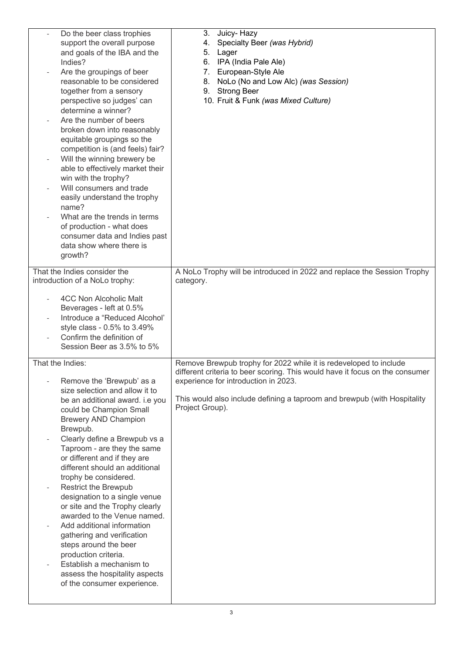| Do the beer class trophies<br>support the overall purpose<br>and goals of the IBA and the<br>Indies?<br>Are the groupings of beer<br>reasonable to be considered<br>together from a sensory<br>perspective so judges' can<br>determine a winner?<br>Are the number of beers<br>broken down into reasonably<br>equitable groupings so the<br>competition is (and feels) fair?<br>Will the winning brewery be<br>able to effectively market their<br>win with the trophy?<br>Will consumers and trade<br>easily understand the trophy<br>name?<br>What are the trends in terms<br>of production - what does<br>consumer data and Indies past<br>data show where there is<br>growth?       | 3.<br>Juicy-Hazy<br>Specialty Beer (was Hybrid)<br>4.<br>Lager<br>5.<br>IPA (India Pale Ale)<br>6.<br>European-Style Ale<br>7.<br>8. NoLo (No and Low Alc) (was Session)<br>9. Strong Beer<br>10. Fruit & Funk (was Mixed Culture)                                                       |
|-----------------------------------------------------------------------------------------------------------------------------------------------------------------------------------------------------------------------------------------------------------------------------------------------------------------------------------------------------------------------------------------------------------------------------------------------------------------------------------------------------------------------------------------------------------------------------------------------------------------------------------------------------------------------------------------|------------------------------------------------------------------------------------------------------------------------------------------------------------------------------------------------------------------------------------------------------------------------------------------|
| That the Indies consider the<br>introduction of a NoLo trophy:                                                                                                                                                                                                                                                                                                                                                                                                                                                                                                                                                                                                                          | A NoLo Trophy will be introduced in 2022 and replace the Session Trophy<br>category.                                                                                                                                                                                                     |
| 4CC Non Alcoholic Malt<br>Beverages - left at 0.5%<br>Introduce a "Reduced Alcohol"<br>style class - 0.5% to 3.49%<br>Confirm the definition of<br>Session Beer as 3.5% to 5%                                                                                                                                                                                                                                                                                                                                                                                                                                                                                                           |                                                                                                                                                                                                                                                                                          |
| That the Indies:<br>Remove the 'Brewpub' as a<br>size selection and allow it to<br>be an additional award. i.e you<br>could be Champion Small<br>Brewery AND Champion<br>Brewpub.<br>Clearly define a Brewpub vs a<br>Taproom - are they the same<br>or different and if they are<br>different should an additional<br>trophy be considered.<br><b>Restrict the Brewpub</b><br>designation to a single venue<br>or site and the Trophy clearly<br>awarded to the Venue named.<br>Add additional information<br>gathering and verification<br>steps around the beer<br>production criteria.<br>Establish a mechanism to<br>assess the hospitality aspects<br>of the consumer experience. | Remove Brewpub trophy for 2022 while it is redeveloped to include<br>different criteria to beer scoring. This would have it focus on the consumer<br>experience for introduction in 2023.<br>This would also include defining a taproom and brewpub (with Hospitality<br>Project Group). |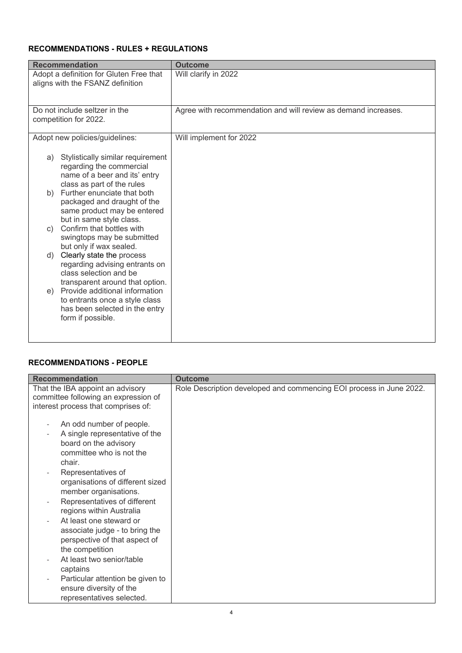# **RECOMMENDATIONS - RULES + REGULATIONS**

| <b>Recommendation</b><br><b>Outcome</b>                                                                                                                                                                                                                                                                                                                                                                                                                                                                                                                                                                                          |                                                                |
|----------------------------------------------------------------------------------------------------------------------------------------------------------------------------------------------------------------------------------------------------------------------------------------------------------------------------------------------------------------------------------------------------------------------------------------------------------------------------------------------------------------------------------------------------------------------------------------------------------------------------------|----------------------------------------------------------------|
| Adopt a definition for Gluten Free that<br>aligns with the FSANZ definition                                                                                                                                                                                                                                                                                                                                                                                                                                                                                                                                                      | Will clarify in 2022                                           |
| Do not include seltzer in the<br>competition for 2022.                                                                                                                                                                                                                                                                                                                                                                                                                                                                                                                                                                           | Agree with recommendation and will review as demand increases. |
| Adopt new policies/guidelines:                                                                                                                                                                                                                                                                                                                                                                                                                                                                                                                                                                                                   | Will implement for 2022                                        |
| Stylistically similar requirement<br>a)<br>regarding the commercial<br>name of a beer and its' entry<br>class as part of the rules<br>Further enunciate that both<br>b)<br>packaged and draught of the<br>same product may be entered<br>but in same style class.<br>Confirm that bottles with<br>C)<br>swingtops may be submitted<br>but only if wax sealed.<br>Clearly state the process<br>d)<br>regarding advising entrants on<br>class selection and be<br>transparent around that option.<br>Provide additional information<br>e)<br>to entrants once a style class<br>has been selected in the entry<br>form if possible. |                                                                |

### **RECOMMENDATIONS - PEOPLE**

| <b>Recommendation</b>                                                                                                                                                                                                                                                                                                                                                                                                              | <b>Outcome</b>                                                      |
|------------------------------------------------------------------------------------------------------------------------------------------------------------------------------------------------------------------------------------------------------------------------------------------------------------------------------------------------------------------------------------------------------------------------------------|---------------------------------------------------------------------|
| That the IBA appoint an advisory<br>committee following an expression of<br>interest process that comprises of:                                                                                                                                                                                                                                                                                                                    | Role Description developed and commencing EOI process in June 2022. |
| An odd number of people.<br>A single representative of the<br>board on the advisory<br>committee who is not the<br>chair.<br>Representatives of<br>organisations of different sized<br>member organisations.<br>Representatives of different<br>regions within Australia<br>At least one steward or<br>associate judge - to bring the<br>perspective of that aspect of<br>the competition<br>At least two senior/table<br>captains |                                                                     |
| Particular attention be given to<br>ensure diversity of the<br>representatives selected.                                                                                                                                                                                                                                                                                                                                           |                                                                     |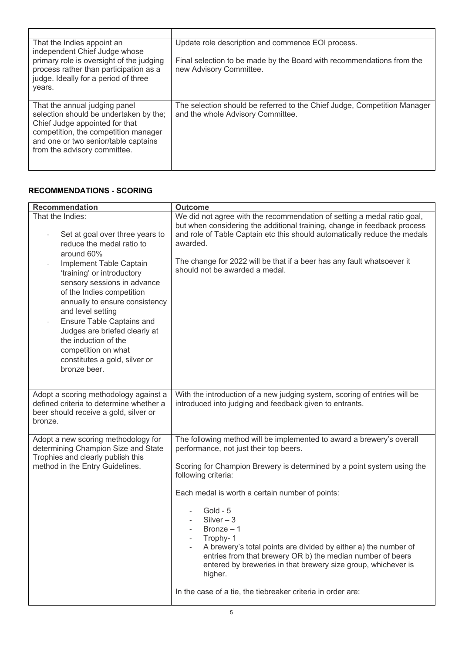| That the Indies appoint an<br>independent Chief Judge whose<br>primary role is oversight of the judging<br>process rather than participation as a<br>judge. Ideally for a period of three<br>years.                       | Update role description and commence EOI process.<br>Final selection to be made by the Board with recommendations from the<br>new Advisory Committee. |
|---------------------------------------------------------------------------------------------------------------------------------------------------------------------------------------------------------------------------|-------------------------------------------------------------------------------------------------------------------------------------------------------|
| That the annual judging panel<br>selection should be undertaken by the;<br>Chief Judge appointed for that<br>competition, the competition manager<br>and one or two senior/table captains<br>from the advisory committee. | The selection should be referred to the Chief Judge, Competition Manager<br>and the whole Advisory Committee.                                         |

### **RECOMMENDATIONS - SCORING**

| <b>Recommendation</b>                                                                                                                                                                                                                                                                                                                                                                                                                                                                                    | <b>Outcome</b>                                                                                                                                                                                                                                                                                                                                                                                                                                                                                                                                                                                           |
|----------------------------------------------------------------------------------------------------------------------------------------------------------------------------------------------------------------------------------------------------------------------------------------------------------------------------------------------------------------------------------------------------------------------------------------------------------------------------------------------------------|----------------------------------------------------------------------------------------------------------------------------------------------------------------------------------------------------------------------------------------------------------------------------------------------------------------------------------------------------------------------------------------------------------------------------------------------------------------------------------------------------------------------------------------------------------------------------------------------------------|
| That the Indies:<br>Set at goal over three years to<br>$\overline{\phantom{a}}$<br>reduce the medal ratio to<br>around 60%<br>Implement Table Captain<br>$\blacksquare$<br>'training' or introductory<br>sensory sessions in advance<br>of the Indies competition<br>annually to ensure consistency<br>and level setting<br>Ensure Table Captains and<br>$\blacksquare$<br>Judges are briefed clearly at<br>the induction of the<br>competition on what<br>constitutes a gold, silver or<br>bronze beer. | We did not agree with the recommendation of setting a medal ratio goal,<br>but when considering the additional training, change in feedback process<br>and role of Table Captain etc this should automatically reduce the medals<br>awarded.<br>The change for 2022 will be that if a beer has any fault whatsoever it<br>should not be awarded a medal.                                                                                                                                                                                                                                                 |
| Adopt a scoring methodology against a<br>defined criteria to determine whether a<br>beer should receive a gold, silver or<br>bronze.                                                                                                                                                                                                                                                                                                                                                                     | With the introduction of a new judging system, scoring of entries will be<br>introduced into judging and feedback given to entrants.                                                                                                                                                                                                                                                                                                                                                                                                                                                                     |
| Adopt a new scoring methodology for<br>determining Champion Size and State<br>Trophies and clearly publish this<br>method in the Entry Guidelines.                                                                                                                                                                                                                                                                                                                                                       | The following method will be implemented to award a brewery's overall<br>performance, not just their top beers.<br>Scoring for Champion Brewery is determined by a point system using the<br>following criteria:<br>Each medal is worth a certain number of points:<br>Gold - $5$<br>$Silver - 3$<br>Bronze $-1$<br>Trophy-1<br>A brewery's total points are divided by either a) the number of<br>entries from that brewery OR b) the median number of beers<br>entered by breweries in that brewery size group, whichever is<br>higher.<br>In the case of a tie, the tiebreaker criteria in order are: |